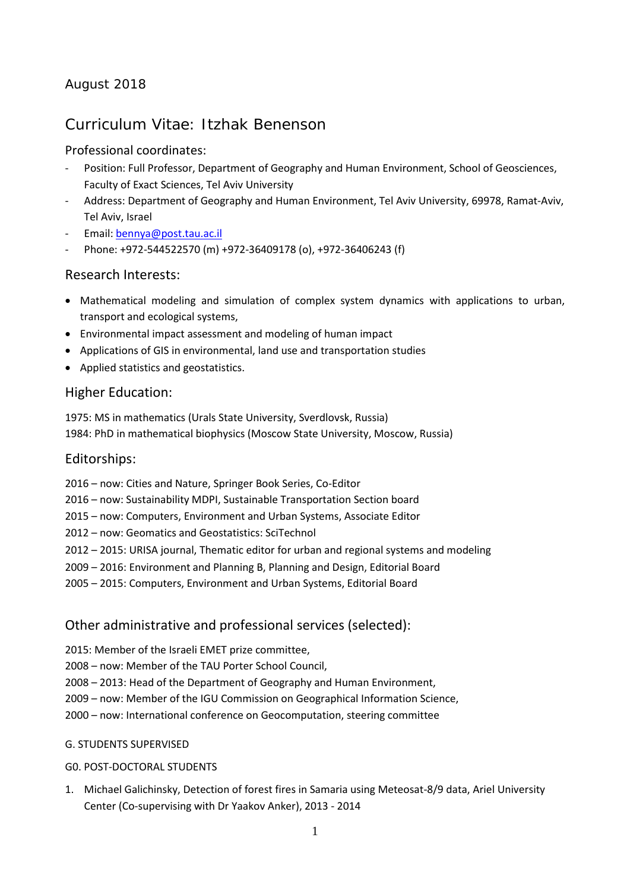# August 2018

# Curriculum Vitae: Itzhak Benenson

# Professional coordinates:

- Position: Full Professor, Department of Geography and Human Environment, School of Geosciences, Faculty of Exact Sciences, Tel Aviv University
- Address: Department of Geography and Human Environment, Tel Aviv University, 69978, Ramat-Aviv, Tel Aviv, Israel
- Email[: bennya@post.tau.ac.il](mailto:bennya@post.tau.ac.il)
- Phone: +972-544522570 (m) +972-36409178 (o), +972-36406243 (f)

# Research Interests:

- Mathematical modeling and simulation of complex system dynamics with applications to urban, transport and ecological systems,
- Environmental impact assessment and modeling of human impact
- Applications of GIS in environmental, land use and transportation studies
- Applied statistics and geostatistics.

# Higher Education:

1975: MS in mathematics (Urals State University, Sverdlovsk, Russia) 1984: PhD in mathematical biophysics (Moscow State University, Moscow, Russia)

### Editorships:

- 2016 now: Cities and Nature, Springer Book Series, Co-Editor
- 2016 now: Sustainability MDPI, Sustainable Transportation Section board
- 2015 now: Computers, Environment and Urban Systems, Associate Editor
- 2012 now: Geomatics and Geostatistics: SciTechnol
- 2012 2015: URISA journal, Thematic editor for urban and regional systems and modeling
- 2009 2016: Environment and Planning B, Planning and Design, Editorial Board
- 2005 2015: Computers, Environment and Urban Systems, Editorial Board

# Other administrative and professional services (selected):

- 2015: Member of the Israeli EMET prize committee,
- 2008 now: Member of the TAU Porter School Council,
- 2008 2013: Head of the Department of Geography and Human Environment,
- 2009 now: Member of the IGU Commission on Geographical Information Science,
- 2000 now: International conference on Geocomputation, steering committee

### G. STUDENTS SUPERVISED

### G0. POST-DOCTORAL STUDENTS

1. Michael Galichinsky, Detection of forest fires in Samaria using Meteosat-8/9 data, Ariel University Center (Co-supervising with Dr Yaakov Anker), 2013 - 2014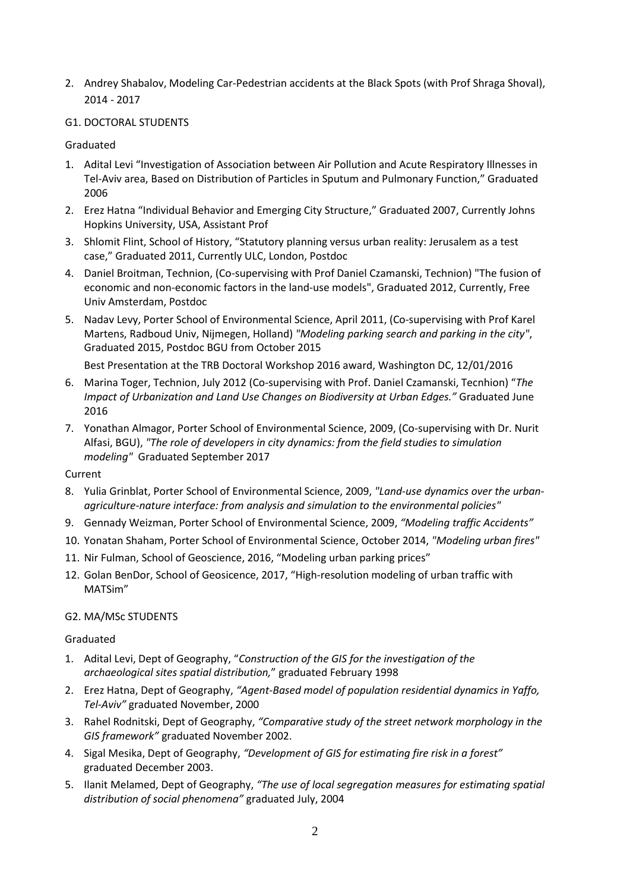2. Andrey Shabalov, Modeling Car-Pedestrian accidents at the Black Spots (with Prof Shraga Shoval), 2014 - 2017

### G1. DOCTORAL STUDENTS

Graduated

- 1. Adital Levi "Investigation of Association between Air Pollution and Acute Respiratory Illnesses in Tel-Aviv area, Based on Distribution of Particles in Sputum and Pulmonary Function," Graduated 2006
- 2. Erez Hatna "Individual Behavior and Emerging City Structure," Graduated 2007, Currently Johns Hopkins University, USA, Assistant Prof
- 3. Shlomit Flint, School of History, "Statutory planning versus urban reality: Jerusalem as a test case," Graduated 2011, Currently ULC, London, Postdoc
- 4. Daniel Broitman, Technion, (Co-supervising with Prof Daniel Czamanski, Technion) "The fusion of economic and non-economic factors in the land-use models", Graduated 2012, Currently, Free Univ Amsterdam, Postdoc
- 5. Nadav Levy, Porter School of Environmental Science, April 2011, (Co-supervising with Prof Karel Martens, Radboud Univ, Nijmegen, Holland) *"Modeling parking search and parking in the city"*, Graduated 2015, Postdoc BGU from October 2015

Best Presentation at the TRB Doctoral Workshop 2016 award, Washington DC, 12/01/2016

- 6. Marina Toger, Technion, July 2012 (Co-supervising with Prof. Daniel Czamanski, Tecnhion) "*The Impact of Urbanization and Land Use Changes on Biodiversity at Urban Edges."* Graduated June 2016
- 7. Yonathan Almagor, Porter School of Environmental Science, 2009, (Co-supervising with Dr. Nurit Alfasi, BGU), *"The role of developers in city dynamics: from the field studies to simulation modeling"* Graduated September 2017

Current

- 8. Yulia Grinblat, Porter School of Environmental Science, 2009, *"Land-use dynamics over the urbanagriculture-nature interface: from analysis and simulation to the environmental policies"*
- 9. Gennady Weizman, Porter School of Environmental Science, 2009, *"Modeling traffic Accidents"*
- 10. Yonatan Shaham, Porter School of Environmental Science, October 2014, *"Modeling urban fires"*
- 11. Nir Fulman, School of Geoscience, 2016, "Modeling urban parking prices"
- 12. Golan BenDor, School of Geosicence, 2017, "High-resolution modeling of urban traffic with MATSim"

### G2. MA/MSc STUDENTS

### Graduated

- 1. Adital Levi, Dept of Geography, "*Construction of the GIS for the investigation of the archaeological sites spatial distribution,*" graduated February 1998
- 2. Erez Hatna, Dept of Geography, *"Agent-Based model of population residential dynamics in Yaffo, Tel-Aviv"* graduated November, 2000
- 3. Rahel Rodnitski, Dept of Geography, *"Comparative study of the street network morphology in the GIS framework"* graduated November 2002.
- 4. Sigal Mesika, Dept of Geography, *"Development of GIS for estimating fire risk in a forest"* graduated December 2003.
- 5. Ilanit Melamed, Dept of Geography, *"The use of local segregation measures for estimating spatial distribution of social phenomena"* graduated July, 2004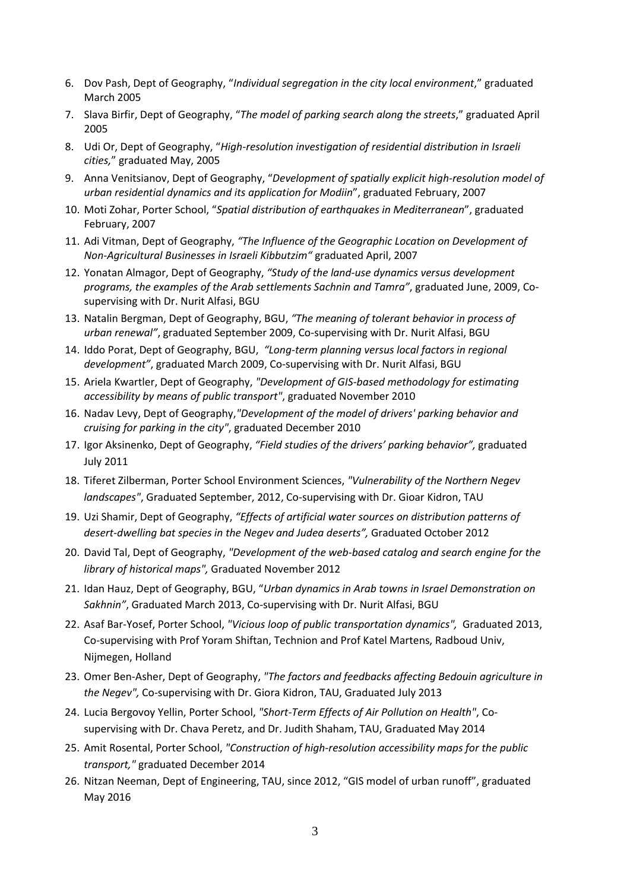- 6. Dov Pash, Dept of Geography, "*Individual segregation in the city local environment*," graduated March 2005
- 7. Slava Birfir, Dept of Geography, "*The model of parking search along the streets*," graduated April 2005
- 8. Udi Or, Dept of Geography, "*High-resolution investigation of residential distribution in Israeli cities,*" graduated May, 2005
- 9. Anna Venitsianov, Dept of Geography, "*Development of spatially explicit high-resolution model of urban residential dynamics and its application for Modiin*", graduated February, 2007
- 10. Moti Zohar, Porter School, "*Spatial distribution of earthquakes in Mediterranean*", graduated February, 2007
- 11. Adi Vitman, Dept of Geography, *"The Influence of the Geographic Location on Development of Non-Agricultural Businesses in Israeli Kibbutzim"* graduated April, 2007
- 12. Yonatan Almagor, Dept of Geography, *"Study of the land-use dynamics versus development programs, the examples of the Arab settlements Sachnin and Tamra"*, graduated June, 2009, Cosupervising with Dr. Nurit Alfasi, BGU
- 13. Natalin Bergman, Dept of Geography, BGU, *"The meaning of tolerant behavior in process of urban renewal"*, graduated September 2009, Co-supervising with Dr. Nurit Alfasi, BGU
- 14. Iddo Porat, Dept of Geography, BGU, *"Long-term planning versus local factors in regional development"*, graduated March 2009, Co-supervising with Dr. Nurit Alfasi, BGU
- 15. Ariela Kwartler, Dept of Geography, *"Development of GIS-based methodology for estimating accessibility by means of public transport"*, graduated November 2010
- 16. Nadav Levy, Dept of Geography,*"Development of the model of drivers' parking behavior and cruising for parking in the city"*, graduated December 2010
- 17. Igor Aksinenko, Dept of Geography, *"Field studies of the drivers' parking behavior",* graduated July 2011
- 18. Tiferet Zilberman, Porter School Environment Sciences, *"Vulnerability of the Northern Negev landscapes"*, Graduated September, 2012, Co-supervising with Dr. Gioar Kidron, TAU
- 19. Uzi Shamir, Dept of Geography, *"Effects of artificial water sources on distribution patterns of desert-dwelling bat species in the Negev and Judea deserts",* Graduated October 2012
- 20. David Tal, Dept of Geography, *"Development of the web-based catalog and search engine for the library of historical maps",* Graduated November 2012
- 21. Idan Hauz, Dept of Geography, BGU, "*Urban dynamics in Arab towns in Israel Demonstration on Sakhnin"*, Graduated March 2013, Co-supervising with Dr. Nurit Alfasi, BGU
- 22. Asaf Bar-Yosef, Porter School, *"Vicious loop of public transportation dynamics",* Graduated 2013, Co-supervising with Prof Yoram Shiftan, Technion and Prof Katel Martens, Radboud Univ, Nijmegen, Holland
- 23. Omer Ben-Asher, Dept of Geography, *"The factors and feedbacks affecting Bedouin agriculture in the Negev",* Co-supervising with Dr. Giora Kidron, TAU, Graduated July 2013
- 24. Lucia Bergovoy Yellin, Porter School, *"Short-Term Effects of Air Pollution on Health"*, Cosupervising with Dr. Chava Peretz, and Dr. Judith Shaham, TAU, Graduated May 2014
- 25. Amit Rosental, Porter School, *"Construction of high-resolution accessibility maps for the public transport,"* graduated December 2014
- 26. Nitzan Neeman, Dept of Engineering, TAU, since 2012, "GIS model of urban runoff", graduated May 2016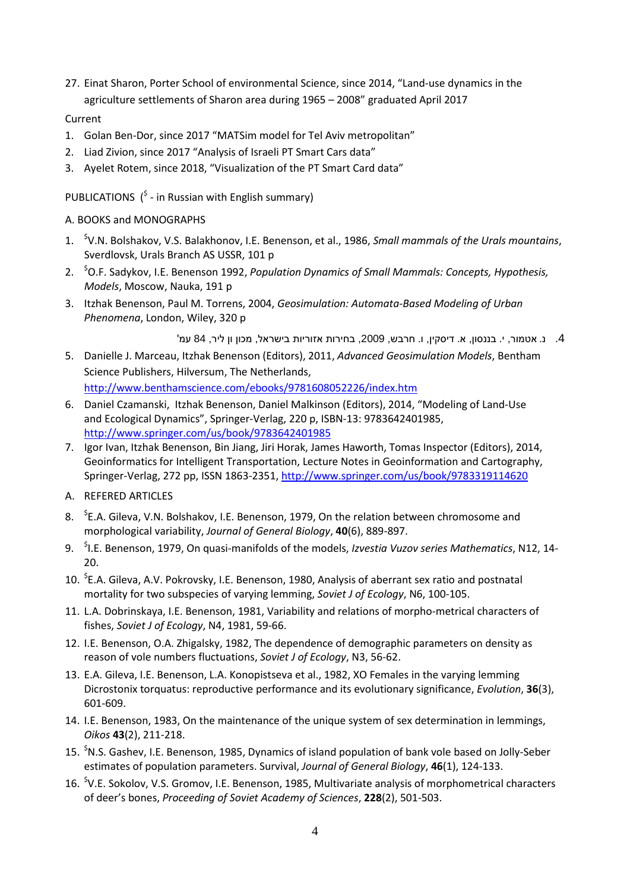27. Einat Sharon, Porter School of environmental Science, since 2014, "Land-use dynamics in the agriculture settlements of Sharon area during 1965 – 2008" graduated April 2017

#### Current

- 1. Golan Ben-Dor, since 2017 "MATSim model for Tel Aviv metropolitan"
- 2. Liad Zivion, since 2017 "Analysis of Israeli PT Smart Cars data"
- 3. Ayelet Rotem, since 2018, "Visualization of the PT Smart Card data"

PUBLICATIONS  $\binom{5}{1}$  - in Russian with English summary)

#### A. BOOKS and MONOGRAPHS

- 1. \$ V.N. Bolshakov, V.S. Balakhonov, I.E. Benenson, et al., 1986, *Small mammals of the Urals mountains*, Sverdlovsk, Urals Branch AS USSR, 101 p
- 2. \$ O.F. Sadykov, I.E. Benenson 1992, *Population Dynamics of Small Mammals: Concepts, Hypothesis, Models*, Moscow, Nauka, 191 p
- 3. Itzhak Benenson, Paul M. Torrens, 2004, *Geosimulation: Automata-Based Modeling of Urban Phenomena*, London, Wiley, 320 p

.4 נ. אטמור, י. בננסון, א. דיסקין, ו. חרבש, ,2009 בחירות אזוריות בישראל, מכון ון ליר, 84 עמ'

- 5. Danielle J. Marceau, Itzhak Benenson (Editors), 2011, *Advanced Geosimulation Models*, Bentham Science Publishers, Hilversum, The Netherlands, <http://www.benthamscience.com/ebooks/9781608052226/index.htm>
- 6. Daniel Czamanski, Itzhak Benenson, Daniel Malkinson (Editors), 2014, "Modeling of Land-Use and Ecological Dynamics", Springer-Verlag, 220 p, ISBN-13: 9783642401985, <http://www.springer.com/us/book/9783642401985>
- 7. Igor Ivan, Itzhak Benenson, Bin Jiang, Jiri Horak, James Haworth, Tomas Inspector (Editors), 2014, Geoinformatics for Intelligent Transportation, Lecture Notes in Geoinformation and Cartography, Springer-Verlag, 272 pp, ISSN 1863-2351[, http://www.springer.com/us/book/9783319114620](http://www.springer.com/us/book/9783319114620)
- A. REFERED ARTICLES
- 8. <sup>\$</sup>E.A. Gileva, V.N. Bolshakov, I.E. Benenson, 1979, On the relation between chromosome and morphological variability, *Journal of General Biology*, **40**(6), 889-897.
- 9. \$ I.E. Benenson, 1979, On quasi-manifolds of the models, *Izvestia Vuzov series Mathematics*, N12, 14- 20.
- 10. <sup>\$</sup>E.A. Gileva, A.V. Pokrovsky, I.E. Benenson, 1980, Analysis of aberrant sex ratio and postnatal mortality for two subspecies of varying lemming, *Soviet J of Ecology*, N6, 100-105.
- 11. L.A. Dobrinskaya, I.E. Benenson, 1981, Variability and relations of morpho-metrical characters of fishes, *Soviet J of Ecology*, N4, 1981, 59-66.
- 12. I.E. Benenson, O.A. Zhigalsky, 1982, The dependence of demographic parameters on density as reason of vole numbers fluctuations, *Soviet J of Ecology*, N3, 56-62.
- 13. E.A. Gileva, I.E. Benenson, L.A. Konopistseva et al., 1982, XO Females in the varying lemming Dicrostonix torquatus: reproductive performance and its evolutionary significance, *Evolution*, **36**(3), 601-609.
- 14. I.E. Benenson, 1983, On the maintenance of the unique system of sex determination in lemmings, *Oikos* **43**(2), 211-218.
- 15. <sup>\$</sup>N.S. Gashev, I.E. Benenson, 1985, Dynamics of island population of bank vole based on Jolly-Seber estimates of population parameters. Survival, *Journal of General Biology*, **46**(1), 124-133.
- 16. <sup>\$</sup>V.E. Sokolov, V.S. Gromov, I.E. Benenson, 1985, Multivariate analysis of morphometrical characters of deer's bones, *Proceeding of Soviet Academy of Sciences*, **228**(2), 501-503.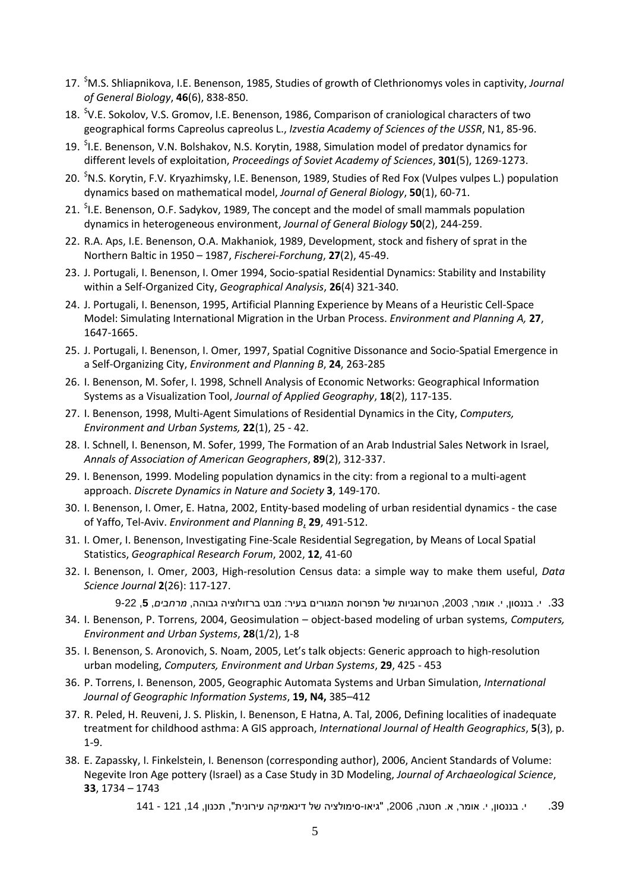- 17. \$ M.S. Shliapnikova, I.E. Benenson, 1985, Studies of growth of Clethrionomys voles in captivity, *Journal of General Biology*, **46**(6), 838-850.
- 18. <sup>\$</sup>V.E. Sokolov, V.S. Gromov, I.E. Benenson, 1986, Comparison of craniological characters of two geographical forms Capreolus capreolus L., *Izvestia Academy of Sciences of the USSR*, N1, 85-96.
- 19. <sup>\$</sup>I.E. Benenson, V.N. Bolshakov, N.S. Korytin, 1988, Simulation model of predator dynamics for different levels of exploitation, *Proceedings of Soviet Academy of Sciences*, **301**(5), 1269-1273.
- 20. <sup>\$</sup>N.S. Korytin, F.V. Kryazhimsky, I.E. Benenson, 1989, Studies of Red Fox (Vulpes vulpes L.) population dynamics based on mathematical model, *Journal of General Biology*, **50**(1), 60-71.
- 21. <sup>\$</sup>I.E. Benenson, O.F. Sadykov, 1989, The concept and the model of small mammals population dynamics in heterogeneous environment, *Journal of General Biology* **50**(2), 244-259.
- 22. R.A. Aps, I.E. Benenson, O.A. Makhaniok, 1989, Development, stock and fishery of sprat in the Northern Baltic in 1950 – 1987, *Fischerei-Forchung*, **27**(2), 45-49.
- 23. J. Portugali, I. Benenson, I. Omer 1994, Socio-spatial Residential Dynamics: Stability and Instability within a Self-Organized City, *Geographical Analysis*, **26**(4) 321-340.
- 24. J. Portugali, I. Benenson, 1995, Artificial Planning Experience by Means of a Heuristic Cell-Space Model: Simulating International Migration in the Urban Process. *Environment and Planning A,* **27**, 1647-1665.
- 25. J. Portugali, I. Benenson, I. Omer, 1997, Spatial Cognitive Dissonance and Socio-Spatial Emergence in a Self-Organizing City, *Environment and Planning B*, **24**, 263-285
- 26. I. Benenson, M. Sofer, I. 1998, Schnell Analysis of Economic Networks: Geographical Information Systems as a Visualization Tool, *Journal of Applied Geography*, **18**(2), 117-135.
- 27. I. Benenson, 1998, Multi-Agent Simulations of Residential Dynamics in the City, *Computers, Environment and Urban Systems,* **22**(1), 25 - 42.
- 28. I. Schnell, I. Benenson, M. Sofer, 1999, The Formation of an Arab Industrial Sales Network in Israel, *Annals of Association of American Geographers*, **89**(2), 312-337.
- 29. I. Benenson, 1999. Modeling population dynamics in the city: from a regional to a multi-agent approach. *Discrete Dynamics in Nature and Society* **3**, 149-170.
- 30. I. Benenson, I. Omer, E. Hatna, 2002, Entity-based modeling of urban residential dynamics the case of Yaffo, Tel-Aviv. *Environment and Planning B*, **29**, 491-512.
- 31. I. Omer, I. Benenson, Investigating Fine-Scale Residential Segregation, by Means of Local Spatial Statistics, *Geographical Research Forum*, 2002, **12**, 41-60
- 32. I. Benenson, I. Omer, 2003, High-resolution Census data: a simple way to make them useful, *Data Science Journal* **2**(26): 117-127.

```
33. י. בננסון, י. אומר, 2003, הטרוגניות של תפרוסת המגורים בעיר: מבט ברזולוציה גבוהה, מרחבים, 5, 9-22
```
- 34. I. Benenson, P. Torrens, 2004, Geosimulation object-based modeling of urban systems, *Computers, Environment and Urban Systems*, **28**(1/2), 1-8
- 35. I. Benenson, S. Aronovich, S. Noam, 2005, Let's talk objects: Generic approach to high-resolution urban modeling, *Computers, Environment and Urban Systems*, **29**, 425 - 453
- 36. P. Torrens, I. Benenson, 2005, Geographic Automata Systems and Urban Simulation, *International Journal of Geographic Information Systems*, **19, N4,** 385–412
- 37. R. Peled, H. Reuveni, J. S. Pliskin, I. Benenson, E Hatna, A. Tal, 2006, Defining localities of inadequate treatment for childhood asthma: A GIS approach, *International Journal of Health Geographics*, **5**(3), p. 1-9.
- 38. E. Zapassky, I. Finkelstein, I. Benenson (corresponding author), 2006, Ancient Standards of Volume: Negevite Iron Age pottery (Israel) as a Case Study in 3D Modeling, *Journal of Archaeological Science*, **33**, 1734 – 1743
	- .39 י. בננסון, י. אומר, א. חטנה, 2006, "גיאו-סימולציה של דינאמיקה עירונית", תכנון, 14, 121 141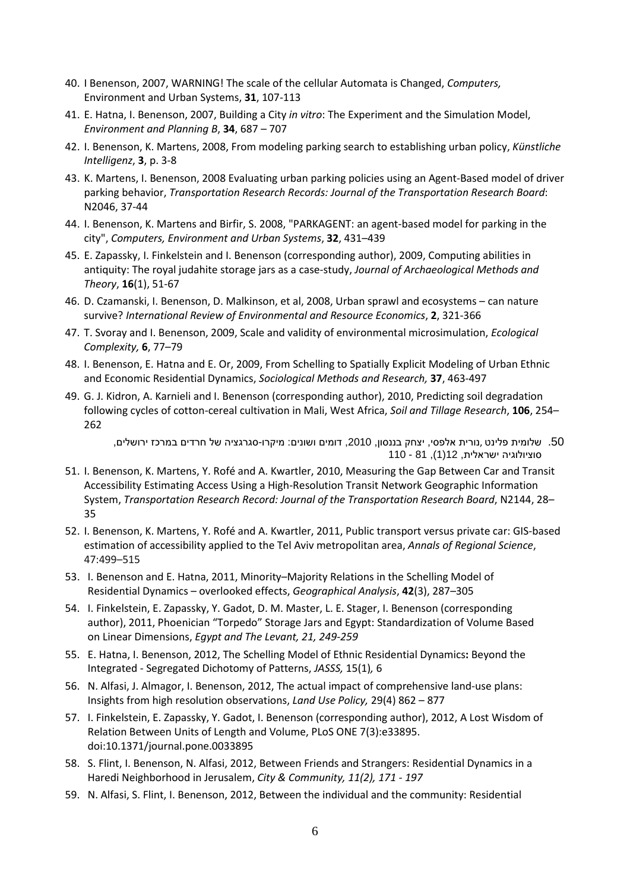- 40. I Benenson, 2007, WARNING! The scale of the cellular Automata is Changed, *Computers,*  Environment and Urban Systems, **31**, 107-113
- 41. E. Hatna, I. Benenson, 2007, Building a City *in vitro*: The Experiment and the Simulation Model, *Environment and Planning B*, **34**, 687 – 707
- 42. I. Benenson, K. Martens, 2008, From modeling parking search to establishing urban policy, *Künstliche Intelligenz*, **3**, p. 3-8
- 43. K. Martens, I. Benenson, 2008 Evaluating urban parking policies using an Agent-Based model of driver parking behavior, *Transportation Research Records: Journal of the Transportation Research Board*: N2046, 37-44
- 44. I. Benenson, K. Martens and Birfir, S. 2008, "PARKAGENT: an agent-based model for parking in the city", *Computers, Environment and Urban Systems*, **32**, 431–439
- 45. E. Zapassky, I. Finkelstein and I. Benenson (corresponding author), 2009, Computing abilities in antiquity: The royal judahite storage jars as a case-study, *Journal of Archaeological Methods and Theory*, **16**(1), 51-67
- 46. D. Czamanski, I. Benenson, D. Malkinson, et al, 2008, Urban sprawl and ecosystems can nature survive? *International Review of Environmental and Resource Economics*, **2**, 321-366
- 47. T. Svoray and I. Benenson, 2009, Scale and validity of environmental microsimulation, *Ecological Complexity,* **6**, 77–79
- 48. I. Benenson, E. Hatna and E. Or, 2009, From Schelling to Spatially Explicit Modeling of Urban Ethnic and Economic Residential Dynamics, *Sociological Methods and Research,* **37**, 463-497
- 49. G. J. Kidron, A. Karnieli and I. Benenson (corresponding author), 2010, Predicting soil degradation following cycles of cotton-cereal cultivation in Mali, West Africa, *Soil and Tillage Research*, **106**, 254– 262

.50 שלומית פלינט ,נורית אלפסי, יצחק בננסון, ,2010 דומים ושונים: מיקרו-סגרגציה של חרדים במרכז ירושלים, סוציולוגיה ישראלית, 12(1), 81 - 110

- 51. I. Benenson, K. Martens, Y. Rofé and A. Kwartler, 2010, Measuring the Gap Between Car and Transit Accessibility Estimating Access Using a High-Resolution Transit Network Geographic Information System, *Transportation Research Record: Journal of the Transportation Research Board*, N2144, 28– 35
- 52. I. Benenson, K. Martens, Y. Rofé and A. Kwartler, 2011, Public transport versus private car: GIS-based estimation of accessibility applied to the Tel Aviv metropolitan area, *Annals of Regional Science*, 47:499–515
- 53. I. Benenson and E. Hatna, 2011, Minority–Majority Relations in the Schelling Model of Residential Dynamics – overlooked effects, *Geographical Analysis*, **42**(3), 287–305
- 54. I. Finkelstein, E. Zapassky, Y. Gadot, D. M. Master, L. E. Stager, I. Benenson (corresponding author), 2011, Phoenician "Torpedo" Storage Jars and Egypt: Standardization of Volume Based on Linear Dimensions, *Egypt and The Levant, 21, 249-259*
- 55. E. Hatna, I. Benenson, 2012, The Schelling Model of Ethnic Residential Dynamics**:** Beyond the Integrated - Segregated Dichotomy of Patterns, *JASSS,* 15(1)*,* 6
- 56. N. Alfasi, J. Almagor, I. Benenson, 2012, The actual impact of comprehensive land-use plans: Insights from high resolution observations, *Land Use Policy,* 29(4) 862 – 877
- 57. I. Finkelstein, E. Zapassky, Y. Gadot, I. Benenson (corresponding author), 2012, A Lost Wisdom of Relation Between Units of Length and Volume, PLoS ONE 7(3):e33895. doi:10.1371/journal.pone.0033895
- 58. S. Flint, I. Benenson, N. Alfasi, 2012, Between Friends and Strangers: Residential Dynamics in a Haredi Neighborhood in Jerusalem, *City & Community, 11(2), 171 - 197*
- 59. N. Alfasi, S. Flint, I. Benenson, 2012, Between the individual and the community: Residential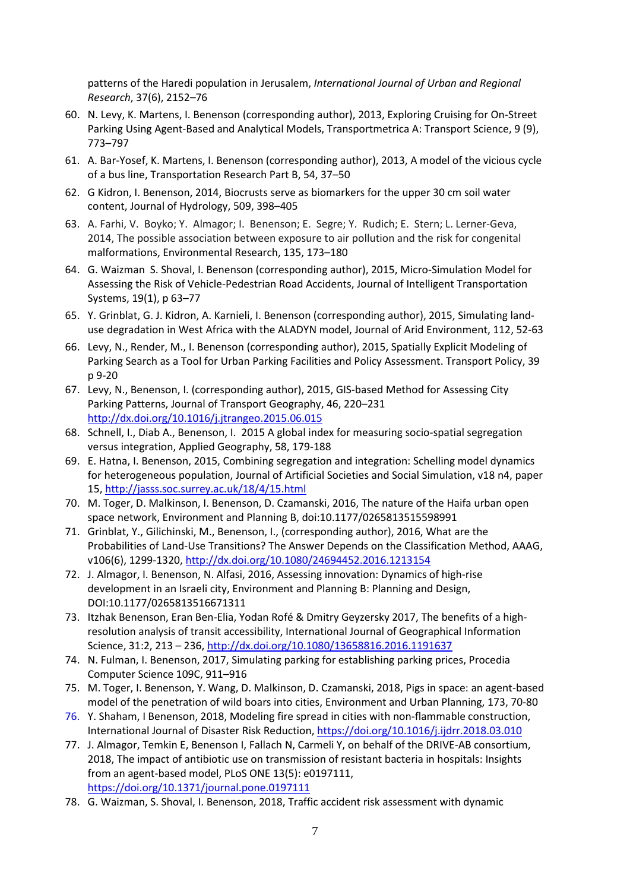patterns of the Haredi population in Jerusalem, *International Journal of Urban and Regional Research*, 37(6), 2152–76

- 60. N. Levy, K. Martens, I. Benenson (corresponding author), 2013, Exploring Cruising for On-Street Parking Using Agent-Based and Analytical Models, Transportmetrica A: Transport Science, 9 (9), 773–797
- 61. A. Bar-Yosef, K. Martens, I. Benenson (corresponding author), 2013, A model of the vicious cycle of a bus line, Transportation Research Part B, 54, 37–50
- 62. G Kidron, I. Benenson, 2014, Biocrusts serve as biomarkers for the upper 30 cm soil water content, Journal of Hydrology, 509, 398–405
- 63. A. Farhi, V. Boyko; Y. Almagor; I. Benenson; E. Segre; Y. Rudich; E. Stern; L. Lerner-Geva, 2014, The possible association between exposure to air pollution and the risk for congenital malformations, Environmental Research, 135, 173–180
- 64. G. Waizman S. Shoval, I. Benenson (corresponding author), 2015, Micro-Simulation Model for Assessing the Risk of Vehicle-Pedestrian Road Accidents, Journal of Intelligent Transportation Systems, 19(1), p 63–77
- 65. Y. Grinblat, G. J. Kidron, A. Karnieli, I. Benenson (corresponding author), 2015, Simulating landuse degradation in West Africa with the ALADYN model, Journal of Arid Environment, 112, 52-63
- 66. Levy, N., Render, M., I. Benenson (corresponding author), 2015, Spatially Explicit Modeling of Parking Search as a Tool for Urban Parking Facilities and Policy Assessment. Transport Policy, 39 p 9-20
- 67. Levy, N., Benenson, I. (corresponding author), 2015, GIS-based Method for Assessing City Parking Patterns, Journal of Transport Geography, 46, 220–231 <http://dx.doi.org/10.1016/j.jtrangeo.2015.06.015>
- 68. Schnell, I., Diab A., Benenson, I. 2015 A global index for measuring socio-spatial segregation versus integration, Applied Geography, 58, 179-188
- 69. E. Hatna, I. Benenson, 2015, Combining segregation and integration: Schelling model dynamics for heterogeneous population, Journal of Artificial Societies and Social Simulation, v18 n4, paper 15,<http://jasss.soc.surrey.ac.uk/18/4/15.html>
- 70. M. Toger, D. Malkinson, I. Benenson, D. Czamanski, 2016, The nature of the Haifa urban open space network, Environment and Planning B, doi:10.1177/0265813515598991
- 71. Grinblat, Y., Gilichinski, M., Benenson, I., (corresponding author), 2016, What are the Probabilities of Land-Use Transitions? The Answer Depends on the Classification Method, AAAG, v106(6), 1299-1320,<http://dx.doi.org/10.1080/24694452.2016.1213154>
- 72. J. Almagor, I. Benenson, N. Alfasi, 2016, Assessing innovation: Dynamics of high-rise development in an Israeli city, Environment and Planning B: Planning and Design, DOI:10.1177/0265813516671311
- 73. Itzhak Benenson, Eran Ben-Elia, Yodan Rofé & Dmitry Geyzersky 2017, The benefits of a highresolution analysis of transit accessibility, International Journal of Geographical Information Science, 31:2, 213 – 236[, http://dx.doi.org/10.1080/13658816.2016.1191637](http://dx.doi.org/10.1080/13658816.2016.1191637)
- 74. N. Fulman, I. Benenson, 2017, Simulating parking for establishing parking prices, Procedia Computer Science 109C, 911–916
- 75. M. Toger, I. Benenson, Y. Wang, D. Malkinson, D. Czamanski, 2018, Pigs in space: an agent-based model of the penetration of wild boars into cities, Environment and Urban Planning, 173, 70-80
- 76. Y. Shaham, I Benenson, 2018, Modeling fire spread in cities with non-flammable construction, International Journal of Disaster Risk Reduction[, https://doi.org/10.1016/j.ijdrr.2018.03.010](https://doi.org/10.1016/j.ijdrr.2018.03.010)
- 77. J. Almagor, Temkin E, Benenson I, Fallach N, Carmeli Y, on behalf of the DRIVE-AB consortium, 2018, The impact of antibiotic use on transmission of resistant bacteria in hospitals: Insights from an agent-based model, PLoS ONE 13(5): e0197111, <https://doi.org/10.1371/journal.pone.0197111>
- 78. G. Waizman, S. Shoval, I. Benenson, 2018, Traffic accident risk assessment with dynamic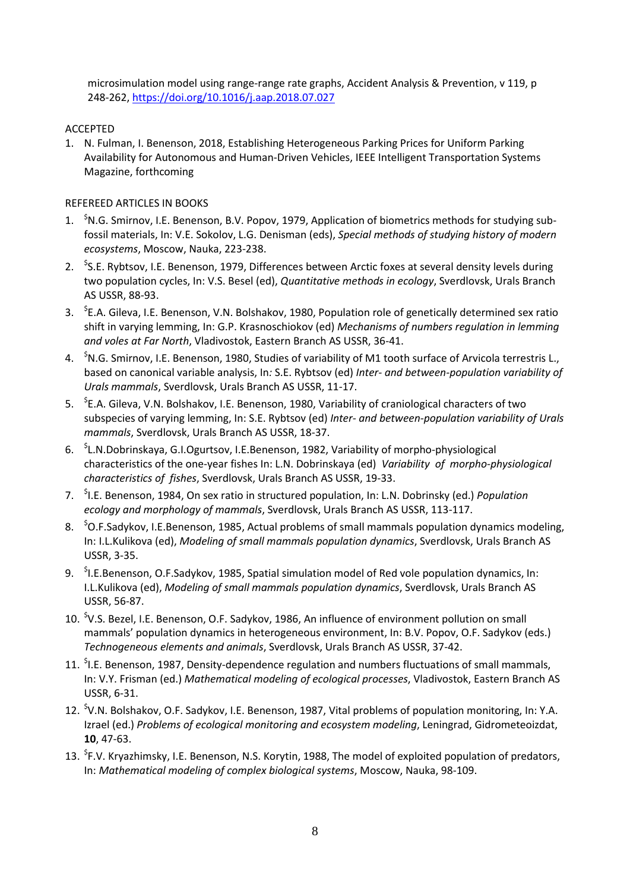microsimulation model using range-range rate graphs, Accident Analysis & Prevention, v 119, p 248-262,<https://doi.org/10.1016/j.aap.2018.07.027>

#### ACCEPTED

1. N. Fulman, I. Benenson, 2018, Establishing Heterogeneous Parking Prices for Uniform Parking Availability for Autonomous and Human-Driven Vehicles, IEEE Intelligent Transportation Systems Magazine, forthcoming

#### REFEREED ARTICLES IN BOOKS

- 1. <sup>\$</sup>N.G. Smirnov, I.E. Benenson, B.V. Popov, 1979, Application of biometrics methods for studying subfossil materials, In: V.E. Sokolov, L.G. Denisman (eds), *Special methods of studying history of modern ecosystems*, Moscow, Nauka, 223-238.
- 2. <sup>\$</sup>S.E. Rybtsov, I.E. Benenson, 1979, Differences between Arctic foxes at several density levels during two population cycles, In: V.S. Besel (ed), *Quantitative methods in ecology*, Sverdlovsk, Urals Branch AS USSR, 88-93.
- 3. <sup>S</sup>E.A. Gileva, I.E. Benenson, V.N. Bolshakov, 1980, Population role of genetically determined sex ratio shift in varying lemming, In: G.P. Krasnoschiokov (ed) *Mechanisms of numbers regulation in lemming and voles at Far North*, Vladivostok, Eastern Branch AS USSR, 36-41.
- 4. <sup>\$</sup>N.G. Smirnov, I.E. Benenson, 1980, Studies of variability of M1 tooth surface of Arvicola terrestris L., based on canonical variable analysis, In*:* S.E. Rybtsov (ed) *Inter- and between-population variability of Urals mammals*, Sverdlovsk, Urals Branch AS USSR, 11-17.
- 5. <sup>S</sup>E.A. Gileva, V.N. Bolshakov, I.E. Benenson, 1980, Variability of craniological characters of two subspecies of varying lemming, In: S.E. Rybtsov (ed) *Inter- and between-population variability of Urals mammals*, Sverdlovsk, Urals Branch AS USSR, 18-37.
- 6. \$ L.N.Dobrinskaya, G.I.Ogurtsov, I.E.Benenson, 1982, Variability of morpho-physiological characteristics of the one-year fishes In: L.N. Dobrinskaya (ed) *Variability of morpho-physiological characteristics of fishes*, Sverdlovsk, Urals Branch AS USSR, 19-33.
- 7. \$ I.E. Benenson, 1984, On sex ratio in structured population, In: L.N. Dobrinsky (ed.) *Population ecology and morphology of mammals*, Sverdlovsk, Urals Branch AS USSR, 113-117.
- 8. <sup>S</sup>O.F.Sadykov, I.E.Benenson, 1985, Actual problems of small mammals population dynamics modeling, In: I.L.Kulikova (ed), *Modeling of small mammals population dynamics*, Sverdlovsk, Urals Branch AS USSR, 3-35.
- 9. <sup>S</sup>I.E.Benenson, O.F.Sadykov, 1985, Spatial simulation model of Red vole population dynamics, In: I.L.Kulikova (ed), *Modeling of small mammals population dynamics*, Sverdlovsk, Urals Branch AS USSR, 56-87.
- 10. <sup>\$</sup>V.S. Bezel, I.E. Benenson, O.F. Sadykov, 1986, An influence of environment pollution on small mammals' population dynamics in heterogeneous environment, In: B.V. Popov, O.F. Sadykov (eds.) *Technogeneous elements and animals*, Sverdlovsk, Urals Branch AS USSR, 37-42.
- 11. <sup>\$</sup>I.E. Benenson, 1987, Density-dependence regulation and numbers fluctuations of small mammals, In: V.Y. Frisman (ed.) *Mathematical modeling of ecological processes*, Vladivostok, Eastern Branch AS USSR, 6-31.
- 12. <sup>\$</sup>V.N. Bolshakov, O.F. Sadykov, I.E. Benenson, 1987, Vital problems of population monitoring, In: Y.A. Izrael (ed.) *Problems of ecological monitoring and ecosystem modeling*, Leningrad, Gidrometeoizdat, **10**, 47-63.
- 13. <sup>\$</sup>F.V. Kryazhimsky, I.E. Benenson, N.S. Korytin, 1988, The model of exploited population of predators, In: *Mathematical modeling of complex biological systems*, Moscow, Nauka, 98-109.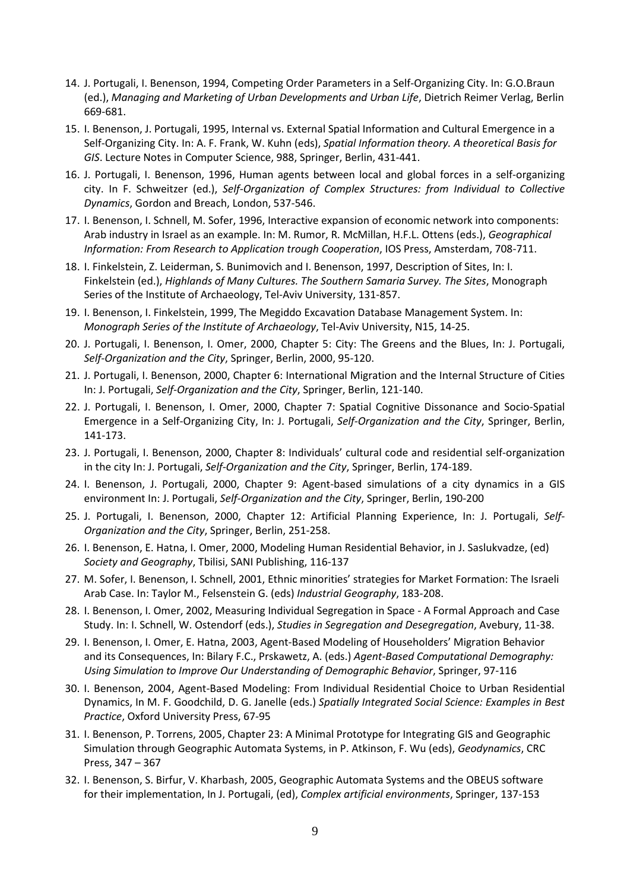- 14. J. Portugali, I. Benenson, 1994, Competing Order Parameters in a Self-Organizing City. In: G.O.Braun (ed.), *Managing and Marketing of Urban Developments and Urban Life*, Dietrich Reimer Verlag, Berlin 669-681.
- 15. I. Benenson, J. Portugali, 1995, Internal vs. External Spatial Information and Cultural Emergence in a Self-Organizing City. In: A. F. Frank, W. Kuhn (eds), *Spatial Information theory. A theoretical Basis for GIS*. Lecture Notes in Computer Science, 988, Springer, Berlin, 431-441.
- 16. J. Portugali, I. Benenson, 1996, Human agents between local and global forces in a self-organizing city. In F. Schweitzer (ed.), *Self-Organization of Complex Structures: from Individual to Collective Dynamics*, Gordon and Breach, London, 537-546.
- 17. I. Benenson, I. Schnell, M. Sofer, 1996, Interactive expansion of economic network into components: Arab industry in Israel as an example. In: M. Rumor, R. McMillan, H.F.L. Ottens (eds.), *Geographical Information: From Research to Application trough Cooperation*, IOS Press, Amsterdam, 708-711.
- 18. I. Finkelstein, Z. Leiderman, S. Bunimovich and I. Benenson, 1997, Description of Sites, In: I. Finkelstein (ed.), *Highlands of Many Cultures. The Southern Samaria Survey. The Sites*, Monograph Series of the Institute of Archaeology, Tel-Aviv University, 131-857.
- 19. I. Benenson, I. Finkelstein, 1999, The Megiddo Excavation Database Management System. In: *Monograph Series of the Institute of Archaeology*, Tel-Aviv University, N15, 14-25.
- 20. J. Portugali, I. Benenson, I. Omer, 2000, Chapter 5: City: The Greens and the Blues, In: J. Portugali, *Self-Organization and the City*, Springer, Berlin, 2000, 95-120.
- 21. J. Portugali, I. Benenson, 2000, Chapter 6: International Migration and the Internal Structure of Cities In: J. Portugali, *Self-Organization and the City*, Springer, Berlin, 121-140.
- 22. J. Portugali, I. Benenson, I. Omer, 2000, Chapter 7: Spatial Cognitive Dissonance and Socio-Spatial Emergence in a Self-Organizing City, In: J. Portugali, *Self-Organization and the City*, Springer, Berlin, 141-173.
- 23. J. Portugali, I. Benenson, 2000, Chapter 8: Individuals' cultural code and residential self-organization in the city In: J. Portugali, *Self-Organization and the City*, Springer, Berlin, 174-189.
- 24. I. Benenson, J. Portugali, 2000, Chapter 9: Agent-based simulations of a city dynamics in a GIS environment In: J. Portugali, *Self-Organization and the City*, Springer, Berlin, 190-200
- 25. J. Portugali, I. Benenson, 2000, Chapter 12: Artificial Planning Experience, In: J. Portugali, *Self-Organization and the City*, Springer, Berlin, 251-258.
- 26. I. Benenson, E. Hatna, I. Omer, 2000, Modeling Human Residential Behavior, in J. Saslukvadze, (ed) *Society and Geography*, Tbilisi, SANI Publishing, 116-137
- 27. M. Sofer, I. Benenson, I. Schnell, 2001, Ethnic minorities' strategies for Market Formation: The Israeli Arab Case. In: Taylor M., Felsenstein G. (eds) *Industrial Geography*, 183-208.
- 28. I. Benenson, I. Omer, 2002, Measuring Individual Segregation in Space A Formal Approach and Case Study. In: I. Schnell, W. Ostendorf (eds.), *Studies in Segregation and Desegregation*, Avebury, 11-38.
- 29. I. Benenson, I. Omer, E. Hatna, 2003, Agent-Based Modeling of Householders' Migration Behavior and its Consequences, In: Bilary F.C., Prskawetz, A. (eds.) *Agent-Based Computational Demography: Using Simulation to Improve Our Understanding of Demographic Behavior*, Springer, 97-116
- 30. I. Benenson, 2004, Agent-Based Modeling: From Individual Residential Choice to Urban Residential Dynamics, In M. F. Goodchild, D. G. Janelle (eds.) *Spatially Integrated Social Science: Examples in Best Practice*, Oxford University Press, 67-95
- 31. I. Benenson, P. Torrens, 2005, Chapter 23: A Minimal Prototype for Integrating GIS and Geographic Simulation through Geographic Automata Systems, in P. Atkinson, F. Wu (eds), *Geodynamics*, CRC Press, 347 – 367
- 32. I. Benenson, S. Birfur, V. Kharbash, 2005, Geographic Automata Systems and the OBEUS software for their implementation, In J. Portugali, (ed), *Complex artificial environments*, Springer, 137-153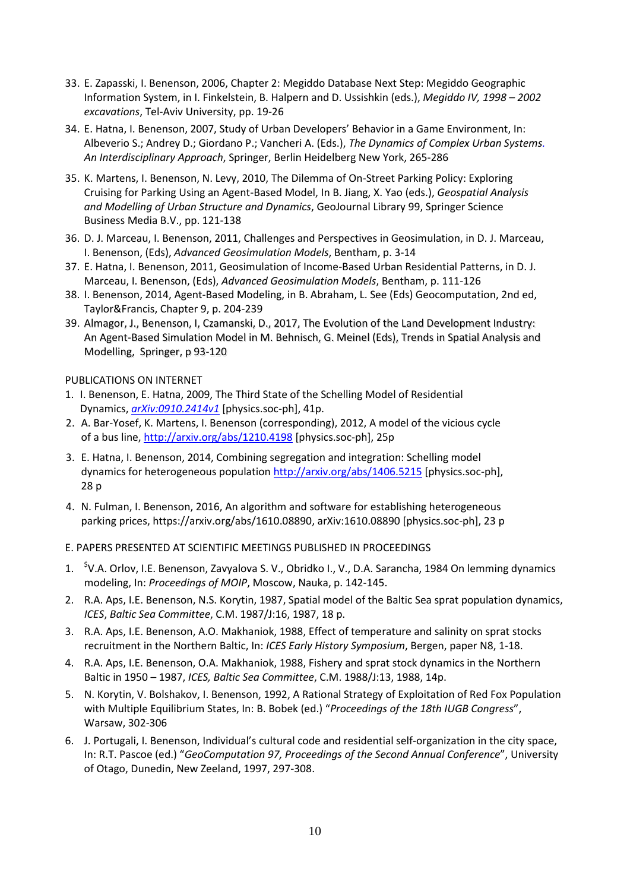- 33. E. Zapasski, I. Benenson, 2006, Chapter 2: Megiddo Database Next Step: Megiddo Geographic Information System, in I. Finkelstein, B. Halpern and D. Ussishkin (eds.), *Megiddo IV, 1998 – 2002 excavations*, Tel-Aviv University, pp. 19-26
- 34. E. Hatna, I. Benenson, 2007, Study of Urban Developers' Behavior in a Game Environment, In: Albeverio S.; Andrey D.; Giordano P.; Vancheri A. (Eds.), *The Dynamics of Complex Urban Systems. An Interdisciplinary Approach*, Springer, Berlin Heidelberg New York, 265-286
- 35. K. Martens, I. Benenson, N. Levy, 2010, The Dilemma of On-Street Parking Policy: Exploring Cruising for Parking Using an Agent-Based Model, In B. Jiang, X. Yao (eds.), *Geospatial Analysis and Modelling of Urban Structure and Dynamics*, GeoJournal Library 99, Springer Science Business Media B.V., pp. 121-138
- 36. D. J. Marceau, I. Benenson, 2011, Challenges and Perspectives in Geosimulation, in D. J. Marceau, I. Benenson, (Eds), *Advanced Geosimulation Models*, Bentham, p. 3-14
- 37. E. Hatna, I. Benenson, 2011, Geosimulation of Income-Based Urban Residential Patterns, in D. J. Marceau, I. Benenson, (Eds), *Advanced Geosimulation Models*, Bentham, p. 111-126
- 38. I. Benenson, 2014, Agent-Based Modeling, in B. Abraham, L. See (Eds) Geocomputation, 2nd ed, Taylor&Francis, Chapter 9, p. 204-239
- 39. Almagor, J., Benenson, I, Czamanski, D., 2017, The Evolution of the Land Development Industry: An Agent-Based Simulation Model in M. Behnisch, G. Meinel (Eds), Trends in Spatial Analysis and Modelling, Springer, p 93-120

#### PUBLICATIONS ON INTERNET

- 1. I. Benenson, E. Hatna, 2009, The Third State of the Schelling Model of Residential Dynamics, *[arXiv:0910.2414v1](http://arxiv.org/abs/0910.2414v1)* [physics.soc-ph], 41p.
- 2. A. Bar-Yosef, K. Martens, I. Benenson (corresponding), 2012, A model of the vicious cycle of a bus line,<http://arxiv.org/abs/1210.4198> [physics.soc-ph], 25p
- 3. E. Hatna, I. Benenson, 2014, Combining segregation and integration: Schelling model dynamics for heterogeneous population <http://arxiv.org/abs/1406.5215> [physics.soc-ph], 28 p
- 4. N. Fulman, I. Benenson, 2016, An algorithm and software for establishing heterogeneous parking prices, https://arxiv.org/abs/1610.08890, arXiv:1610.08890 [physics.soc-ph], 23 p
- E. PAPERS PRESENTED AT SCIENTIFIC MEETINGS PUBLISHED IN PROCEEDINGS
- 1. <sup>\$</sup>V.A. Orlov, I.E. Benenson, Zavyalova S. V., Obridko I., V., D.A. Sarancha, 1984 On lemming dynamics modeling, In: *Proceedings of MOIP*, Moscow, Nauka, p. 142-145.
- 2. R.A. Aps, I.E. Benenson, N.S. Korytin, 1987, Spatial model of the Baltic Sea sprat population dynamics, *ICES*, *Baltic Sea Committee*, C.M. 1987/J:16, 1987, 18 p.
- 3. R.A. Aps, I.E. Benenson, A.O. Makhaniok, 1988, Effect of temperature and salinity on sprat stocks recruitment in the Northern Baltic, In: *ICES Early History Symposium*, Bergen, paper N8, 1-18.
- 4. R.A. Aps, I.E. Benenson, O.A. Makhaniok, 1988, Fishery and sprat stock dynamics in the Northern Baltic in 1950 – 1987, *ICES, Baltic Sea Committee*, C.M. 1988/J:13, 1988, 14p.
- 5. N. Korytin, V. Bolshakov, I. Benenson, 1992, A Rational Strategy of Exploitation of Red Fox Population with Multiple Equilibrium States, In: B. Bobek (ed.) "*Proceedings of the 18th IUGB Congress*", Warsaw, 302-306
- 6. J. Portugali, I. Benenson, Individual's cultural code and residential self-organization in the city space, In: R.T. Pascoe (ed.) "*GeoComputation 97, Proceedings of the Second Annual Conference*", University of Otago, Dunedin, New Zeeland, 1997, 297-308.